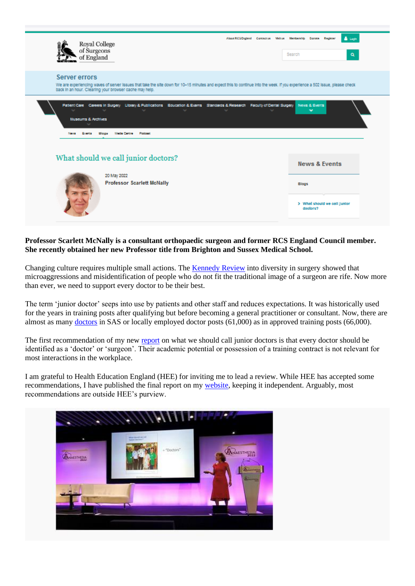

## **Professor Scarlett McNally is a consultant orthopaedic surgeon and former RCS England Council member. She recently obtained her new Professor title from Brighton and Sussex Medical School.**

Changing culture requires multiple small actions. The [Kennedy Review](https://www.rcseng.ac.uk/news-and-events/blog/what-call-junior-doctors/~/link.aspx?_id=78652031A1F344B9A242BF6C4211F2DA&_z=z) into diversity in surgery showed that microaggressions and misidentification of people who do not fit the traditional image of a surgeon are rife. Now more than ever, we need to support every doctor to be their best.

The term 'junior doctor' seeps into use by patients and other staff and reduces expectations. It was historically used for the years in training posts after qualifying but before becoming a general practitioner or consultant. Now, there are almost as many [doctors](https://www.gmc-uk.org/-/media/documents/somep-2021-reference-tables-the-register-of-medical-practitioners_xlsx-88510291.xlsx) in SAS or locally employed doctor posts (61,000) as in approved training posts (66,000).

The first recommendation of my new [report](http://www.scarlettmcnally.co.uk/junior-doctors-report) on what we should call junior doctors is that every doctor should be identified as a 'doctor' or 'surgeon'. Their academic potential or possession of a training contract is not relevant for most interactions in the workplace.

I am grateful to Health Education England (HEE) for inviting me to lead a review. While HEE has accepted some recommendations, I have published the final report on my [website,](http://www.scarlettmcnally.co.uk/) keeping it independent. Arguably, most recommendations are outside HEE's purview.